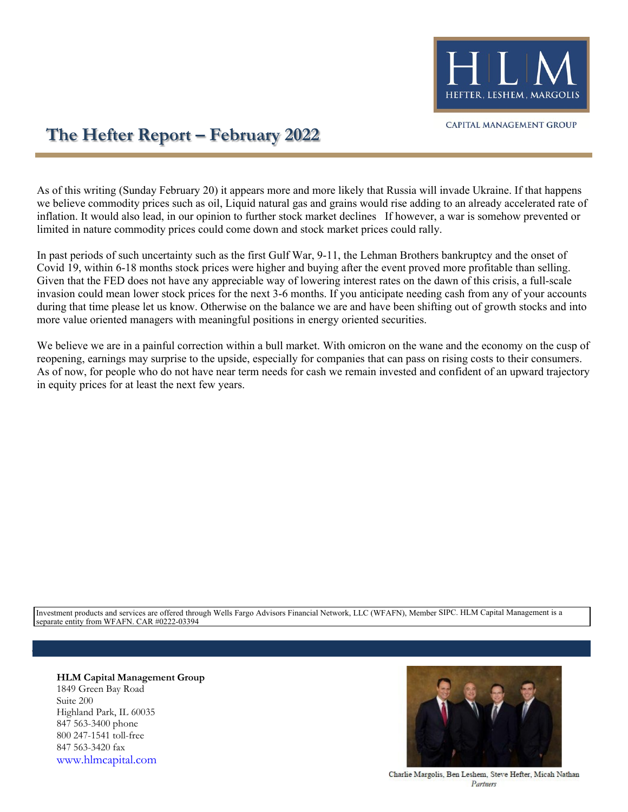

## **The Hefter Report – February 2022**

As of this writing (Sunday February 20) it appears more and more likely that Russia will invade Ukraine. If that happens we believe commodity prices such as oil, Liquid natural gas and grains would rise adding to an already accelerated rate of inflation. It would also lead, in our opinion to further stock market declines If however, a war is somehow prevented or limited in nature commodity prices could come down and stock market prices could rally.

In past periods of such uncertainty such as the first Gulf War, 9-11, the Lehman Brothers bankruptcy and the onset of Covid 19, within 6-18 months stock prices were higher and buying after the event proved more profitable than selling. Given that the FED does not have any appreciable way of lowering interest rates on the dawn of this crisis, a full-scale invasion could mean lower stock prices for the next 3-6 months. If you anticipate needing cash from any of your accounts during that time please let us know. Otherwise on the balance we are and have been shifting out of growth stocks and into more value oriented managers with meaningful positions in energy oriented securities.

We believe we are in a painful correction within a bull market. With omicron on the wane and the economy on the cusp of reopening, earnings may surprise to the upside, especially for companies that can pass on rising costs to their consumers. As of now, for people who do not have near term needs for cash we remain invested and confident of an upward trajectory in equity prices for at least the next few years.

Investment products and services are offered through Wells Fargo Advisors Financial Network, LLC (WFAFN), Member SIPC. HLM Capital Management is a separate entity from WFAFN. CAR #0222-03394

**HLM Capital Management Group** 1849 Green Bay Road Suite 200 Highland Park, IL 60035 847 563-3400 phone 800 247-1541 toll-free 847 563-3420 fax [www.hlmcapital.com](http://www.hlmcapital.com/)



Charlie Margolis, Ben Leshem, Steve Hefter, Micah Nathan Partners